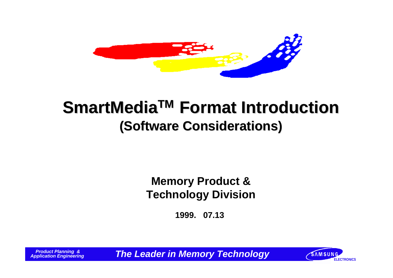

# **SmartMediaTM Format Introduction (Software Considerations)**

### **Memory Product & Technology Division**

**1999. 07.13**

 *Product Planning &*

*APPLE Leader in Memory Technology* **EXAMEDIATELY APPLICATE CONCS** 

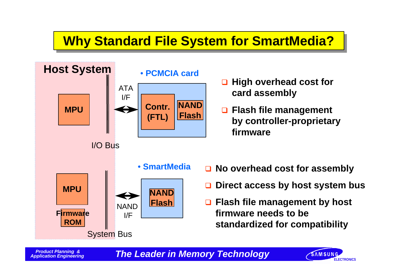# **Why Standard File System for SmartMedia??**



- q **High overhead cost for card assembly**
- **□ Flash file management by controller-proprietary firmware**
- **□ No overhead cost for assembly**
- q **Direct access by host system bus**
- q **Flash file management by host firmware needs to be standardized for compatibility**

*The Leader in Memory Technology* **EXAMENDING** 

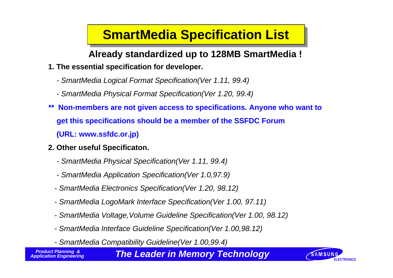# **SmartMedia Specification List**

**Already standardized up to 128MB SmartMedia !**

- **1. The essential specification for developer.**
	- *SmartMedia Logical Format Specification(Ver 1.11, 99.4)*
	- *SmartMedia Physical Format Specification(Ver 1.20, 99.4)*
- *\*\** **Non-members are not given access to specifications. Anyone who want to get this specifications should be a member of the SSFDC Forum (URL: www.ssfdc.or.jp)**
- **2. Other useful Specificaton.**
	- *SmartMedia Physical Specification(Ver 1.11, 99.4)*
	- *SmartMedia Application Specification(Ver 1.0,97.9)*
	- *SmartMedia Electronics Specification(Ver 1.20, 98.12)*
	- *SmartMedia LogoMark Interface Specification(Ver 1.00, 97.11)*
	- *SmartMedia Voltage,Volume Guideline Specification(Ver 1.00, 98.12)*
	- *SmartMedia Interface Guideline Specification(Ver 1.00,98.12)*
	- *SmartMedia Compatibility Guideline(Ver 1.00,99.4)*

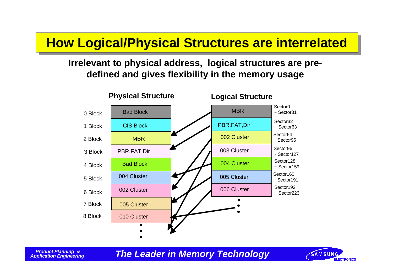### **How Logical/Physical Structures are interrelated**

### **Irrelevant to physical address, logical structures are predefined and gives flexibility in the memory usage**



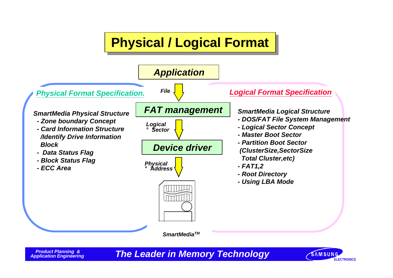# **Physical / Logical Format**



 *Product Planning &*

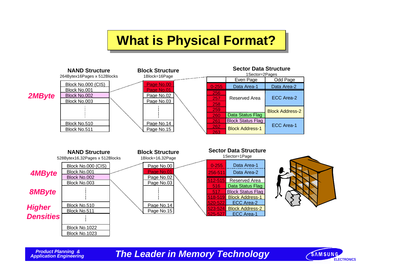### **What is Physical Format?**



*Application Engineering Memory Technology* **Example 2 EXAM SURGE 2014 21 22 23 AMSUNGS** 

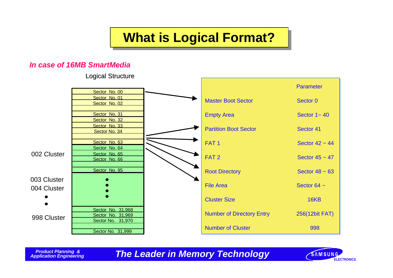# **What is Logical Format?**

### *In case of 16MB SmartMedia*

Logical Structure



*APPLE ENGINEERING ENGINEERING ENGINEERING**ELECTRONICS* 

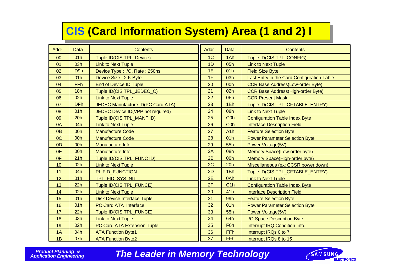### **CIS CIS (Card Information System) Area (1 and 2) I**

| <b>Addr</b>    | <b>Data</b>      | <b>Contents</b>                          | Addr           | <b>Data</b>      | <b>Contents</b>                            |
|----------------|------------------|------------------------------------------|----------------|------------------|--------------------------------------------|
| 00             | 01h              | Tuple ID(CIS TPL_Device)                 | 1 <sup>C</sup> | 1Ah              | Tuple ID(CIS TPL_CONFIG)                   |
| 01             | 03h              | <b>Link to Next Tuple</b>                | 1D             | 05h              | <b>Link to Next Tuple</b>                  |
| 02             | D <sub>9</sub> h | Device Type: I/O, Rate: 250ns            | 1E             | 01h              | <b>Field Size Byte</b>                     |
| 03             | 01h              | Device Size: 2 K Byte                    | 1F             | 03h              | Last Entry in the Card Configuration Table |
| 04             | <b>FFh</b>       | <b>End of Device ID Tuple</b>            | 20             | 00h              | <b>CCR Base Address(Low-order Byte)</b>    |
| 05             | 18h              | Tuple ID(CIS TPL_JEDEC_C)                | 21             | 02h              | <b>CCR Base Address(High-order Byte)</b>   |
| 06             | 02h              | <b>Link to Next Tuple</b>                | 22             | 0Fh              | <b>CCR Present Mask</b>                    |
| 07             | <b>DFh</b>       | <b>JEDEC Manufacture ID(PC Card ATA)</b> | 23             | 1Bh              | Tuple ID(CIS TPL_CFTABLE_ENTRY)            |
| 08             | 01h              | JEDEC Device ID(VPP not required)        | 24             | 08h              | <b>Link to Next Tuple</b>                  |
| 09             | 20h              | Tuple ID(CIS TPL_MANF ID)                | 25             | C <sub>O</sub> h | <b>Configuration Table Index Byte</b>      |
| 0A             | 04h              | <b>Link to Next Tuple</b>                | 26             | C <sub>0</sub> h | <b>Interface Description Field</b>         |
| 0 <sub>B</sub> | 00h              | <b>Manufacture Code</b>                  | 27             | A <sub>1</sub> h | <b>Feature Selection Byte</b>              |
| OC             | 00h              | <b>Manufacture Code</b>                  | 28             | 01h              | <b>Power Parameter Selection Byte</b>      |
| 0D             | 00h              | Manufacture Info.                        | 29             | 55h              | Power Voltage(5V)                          |
| 0E             | 00h              | Manufacture Info.                        | 2A             | 08h              | Memory Space(Low-order byte)               |
| 0F             | 21h              | Tuple ID(CIS TPL FUNC ID)                | 2B             | 00h              | Memory Space(High-order byte)              |
| 10             | 02h              | <b>Link to Next Tuple</b>                | 2C             | 20h              | Miscellaneous (ex: CCSR power down)        |
| 11             | 04h              | PL FID FUNCTION                          | 2D             | 1Bh              | Tuple ID(CIS TPL CFTABLE ENTRY)            |
| 12             | 01h              | TPL FID SYS INIT                         | 2E             | 0Ah              | <b>Link to Next Tuple</b>                  |
| 13             | 22h              | Tuple ID(CIS TPL_FUNCE)                  | 2F             | C1h              | <b>Configuration Table Index Byte</b>      |
| 14             | 02h              | <b>Link to Next Tuple</b>                | 30             | 41h              | <b>Interface Description Field</b>         |
| 15             | 01h              | <b>Disk Device Interface Tuple</b>       | 31             | 99h              | <b>Feature Selection Byte</b>              |
| 16             | 01h              | <b>PC Card ATA Interface</b>             | 32             | 01h              | <b>Power Parameter Selection Byte</b>      |
| 17             | 22h              | Tuple ID(CIS TPL_FUNCE)                  | 33             | 55h              | Power Voltage(5V)                          |
| 18             | 03h              | <b>Link to Next Tuple</b>                | 34             | 64h              | I/O Space Description Byte                 |
| 19             | 02h              | <b>PC Card ATA Extension Tuple</b>       | 35             | <b>F0h</b>       | Interrupt IRQ Condition Info.              |
| 1A             | 04h              | <b>ATA Function Byte1</b>                | 36             | FFh              | Interrupt IRQs 0 to 7                      |
| 1B             | 07h              | <b>ATA Function Byte2</b>                | 37             | <b>FFh</b>       | Interrupt IRQs 8 to 15                     |

 *Product Planning &*

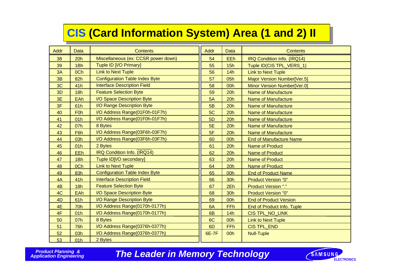### **CIS CIS (Card Information System) Area (1 and 2) II**

| <b>Addr</b>    | <b>Data</b> | <b>Contents</b>                       | Addr      | Data       | <b>Contents</b>                |
|----------------|-------------|---------------------------------------|-----------|------------|--------------------------------|
| 38             | 20h         | Miscellaneous (ex: CCSR power down)   | 54        | EEh        | IRQ Condition Info. (IRQ14)    |
| 39             | 1Bh         | Tuple ID [I/O Primary]                | 55        | 15h        | Tuple ID(CIS TPL_VERS_1)       |
| 3A             | 0Ch         | <b>Link to Next Tuple</b>             | 56        | 14h        | <b>Link to Next Tuple</b>      |
| 3B             | 82h         | <b>Configuration Table Index Byte</b> | 57        | 05h        | Major Version Number[Ver.5]    |
| 3C             | 41h         | <b>Interface Description Field</b>    | 58        | 00h        | Minor Version Number[Ver.0]    |
| 3D             | 18h         | <b>Feature Selection Byte</b>         | 59        | 20h        | <b>Name of Manufacture</b>     |
| 3E             | EAh         | I/O Space Description Byte            | 5A        | 20h        | <b>Name of Manufacture</b>     |
| 3F             | 61h         | I/O Range Description Byte            | 5B        | 20h        | <b>Name of Manufacture</b>     |
| 40             | <b>F0h</b>  | I/O Address Range(01F0h-01F7h)        | 5C        | 20h        | <b>Name of Manufacture</b>     |
| 41             | 01h         | I/O Address Range(01F0h-01F7h)        | 5D        | 20h        | <b>Name of Manufacture</b>     |
| 42             | 07h         | 8 Bytes                               | <b>5E</b> | 20h        | <b>Name of Manufacture</b>     |
| 43             | F6h         | I/O Address Range(03F6h-03F7h)        | 5F        | 20h        | <b>Name of Manufacture</b>     |
| 44             | 03h         | I/O Address Range(03F6h-03F7h)        | 60        | 00h        | <b>End of Manufacture Name</b> |
| 45             | 01h         | 2 Bytes                               | 61        | 20h        | <b>Name of Product</b>         |
| 46             | EEh         | IRQ Condition Info. (IRQ14)           | 62        | 20h        | <b>Name of Product</b>         |
| 47             | 1Bh         | Tuple ID[I/O secondary]               | 63        | 20h        | <b>Name of Product</b>         |
| 48             | 0Ch         | <b>Link to Next Tuple</b>             | 64        | 20h        | <b>Name of Product</b>         |
| 49             | 83h         | <b>Configuration Table Index Byte</b> | 65        | 00h        | <b>End of Product Name</b>     |
| 4A             | 41h         | <b>Interface Description Field</b>    | 66        | 30h        | <b>Product Version "0"</b>     |
| 4 <sub>B</sub> | 18h         | <b>Feature Selection Byte</b>         | 67        | 2Eh        | <b>Product Version "."</b>     |
| 4C             | EAh         | I/O Space Description Byte            | 68        | <b>30h</b> | <b>Product Version "0"</b>     |
| 4D             | 61h         | I/O Range Description Byte            | 69        | 00h        | <b>End of Product Version</b>  |
| 4E             | <b>70h</b>  | I/O Address Range(0170h-0177h)        | 6A        | FFh        | End of Product Info. Tuple     |
| 4F             | 01h         | I/O Address Range(0170h-0177h)        | 6B        | 14h        | <b>CIS TPL_NO_LINK</b>         |
| 50             | 07h         | 8 Bytes                               | 6C        | 00h        | <b>Link to Next Tuple</b>      |
| 51             | <b>76h</b>  | I/O Address Range(0376h-0377h)        | 6D        | FFh        | <b>CIS TPL_END</b>             |
| 52             | 03h         | I/O Address Range(0376h-0377h)        | 6E-7F     | 00h        | <b>Null-Tuple</b>              |
| 53             | 01h         | 2 Bytes                               |           |            |                                |

 *Product Planning &*

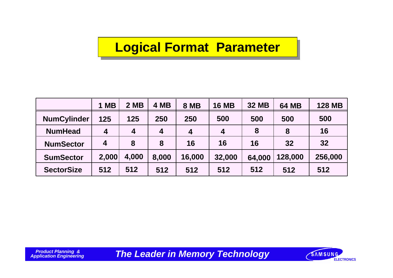### **Logical Format Parameter**

|                    | <b>MB</b><br>1   | 2 MB             | 4 MB             | <b>8 MB</b>    | <b>16 MB</b>     | <b>32 MB</b> | <b>64 MB</b> | <b>128 MB</b> |
|--------------------|------------------|------------------|------------------|----------------|------------------|--------------|--------------|---------------|
| <b>NumCylinder</b> | 125              | 125              | 250              | 250            | 500              | 500          | 500          | 500           |
| <b>NumHead</b>     | $\boldsymbol{4}$ | $\boldsymbol{4}$ | $\boldsymbol{4}$ | $\overline{4}$ | $\boldsymbol{4}$ | 8            | 8            | 16            |
| <b>NumSector</b>   | 4                | 8                | 8                | 16             | 16               | 16           | 32           | 32            |
| <b>SumSector</b>   | 2,000            | 4,000            | 8,000            | 16,000         | 32,000           | 64,000       | 128,000      | 256,000       |
| <b>SectorSize</b>  | 512              | 512              | 512              | 512            | 512              | 512          | 512          | 512           |

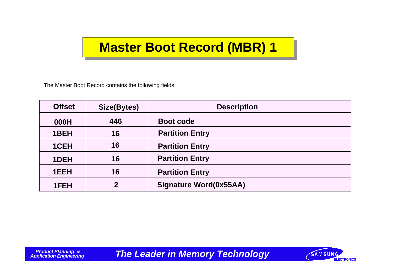### **Master Boot Record (MBR) 1**

The Master Boot Record contains the following fields:

| <b>Offset</b> | Size(Bytes)      | <b>Description</b>     |  |  |
|---------------|------------------|------------------------|--|--|
| 000H          | 446              | <b>Boot code</b>       |  |  |
| 1BEH          | 16               | <b>Partition Entry</b> |  |  |
| 1CEH          | 16               | <b>Partition Entry</b> |  |  |
| 1DEH          | 16               | <b>Partition Entry</b> |  |  |
| 1EEH          | 16               | <b>Partition Entry</b> |  |  |
| 1FEH          | $\boldsymbol{p}$ | Signature Word(0x55AA) |  |  |

*Application Figure 2011 Memory Technology* **Example 2013 12 AMSUNG** 

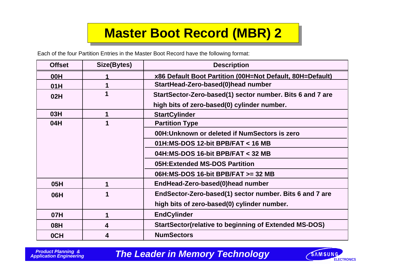# **Master Boot Record (MBR) 2**

Each of the four Partition Entries in the Master Boot Record have the following format:

| <b>Offset</b> | Size(Bytes)             | <b>Description</b>                                           |  |
|---------------|-------------------------|--------------------------------------------------------------|--|
| 00H           |                         | x86 Default Boot Partition (00H=Not Default, 80H=Default)    |  |
| 01H           |                         | StartHead-Zero-based(0)head number                           |  |
| 02H           |                         | StartSector-Zero-based(1) sector number. Bits 6 and 7 are    |  |
|               |                         | high bits of zero-based(0) cylinder number.                  |  |
| <b>03H</b>    | 1                       | <b>StartCylinder</b>                                         |  |
| 04H           | $\overline{\mathbf{1}}$ | <b>Partition Type</b>                                        |  |
|               |                         | 00H: Unknown or deleted if NumSectors is zero                |  |
|               |                         | 01H: MS-DOS 12-bit BPB/FAT $<$ 16 MB                         |  |
|               |                         | 04H:MS-DOS 16-bit BPB/FAT < 32 MB                            |  |
|               |                         | 05H: Extended MS-DOS Partition                               |  |
|               |                         | 06H:MS-DOS 16-bit BPB/FAT >= 32 MB                           |  |
| 05H           |                         | EndHead-Zero-based(0)head number                             |  |
| 06H           |                         | EndSector-Zero-based(1) sector number. Bits 6 and 7 are      |  |
|               |                         | high bits of zero-based(0) cylinder number.                  |  |
| 07H           | 1                       | <b>EndCylinder</b>                                           |  |
| 08H           | 4                       | <b>StartSector(relative to beginning of Extended MS-DOS)</b> |  |
| 0CH           | 4                       | <b>NumSectors</b>                                            |  |

 *Product Planning &*

**The Leader in Memory Technology EXAMELIAN ELECTRONICS** 

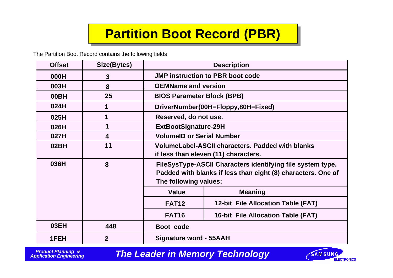# **Partition Boot Record (PBR)**

The Partition Boot Record contains the following fields

| <b>Offset</b> | Size(Bytes)    | <b>Description</b>                                                                                                                                  |                                         |  |
|---------------|----------------|-----------------------------------------------------------------------------------------------------------------------------------------------------|-----------------------------------------|--|
| 000H          | 3              |                                                                                                                                                     | <b>JMP instruction to PBR boot code</b> |  |
| 003H          | 8              | <b>OEMName and version</b>                                                                                                                          |                                         |  |
| 00BH          | 25             | <b>BIOS Parameter Block (BPB)</b>                                                                                                                   |                                         |  |
| 024H          | 1              |                                                                                                                                                     | DriverNumber(00H=Floppy,80H=Fixed)      |  |
| 025H          |                | Reserved, do not use.                                                                                                                               |                                         |  |
| 026H          |                | <b>ExtBootSignature-29H</b>                                                                                                                         |                                         |  |
| 027H          | 4              | <b>VolumeID or Serial Number</b>                                                                                                                    |                                         |  |
| 02BH          | 11             | <b>VolumeLabel-ASCII characters. Padded with blanks</b><br>if less than eleven (11) characters.                                                     |                                         |  |
| 036H          | 8              | FileSysType-ASCII Characters identifying file system type.<br>Padded with blanks if less than eight (8) characters. One of<br>The following values: |                                         |  |
|               |                | <b>Value</b>                                                                                                                                        | <b>Meaning</b>                          |  |
|               |                | <b>FAT12</b>                                                                                                                                        | 12-bit File Allocation Table (FAT)      |  |
|               |                | <b>FAT16</b><br><b>16-bit File Allocation Table (FAT)</b>                                                                                           |                                         |  |
| 03EH          | 448            | Boot code                                                                                                                                           |                                         |  |
| 1FEH          | $\overline{2}$ | Signature word - 55AAH                                                                                                                              |                                         |  |

 *Product Planning &*

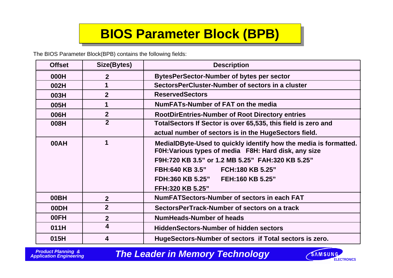# **BIOS Parameter Block (BPB)**

The BIOS Parameter Block(BPB) contains the following fields:

| <b>Offset</b> | Size(Bytes)             | <b>Description</b>                                                                                                       |  |  |  |
|---------------|-------------------------|--------------------------------------------------------------------------------------------------------------------------|--|--|--|
| 000H          | $\overline{2}$          | <b>BytesPerSector-Number of bytes per sector</b>                                                                         |  |  |  |
| 002H          | 1                       | SectorsPerCluster-Number of sectors in a cluster                                                                         |  |  |  |
| 003H          | 2 <sup>2</sup>          | <b>ReservedSectors</b>                                                                                                   |  |  |  |
| 005H          | 1                       | NumFATs-Number of FAT on the media                                                                                       |  |  |  |
| 006H          | 2 <sup>2</sup>          | <b>RootDirEntries-Number of Root Directory entries</b>                                                                   |  |  |  |
| 008H          | $\overline{2}$          | Total Sectors If Sector is over 65,535, this field is zero and                                                           |  |  |  |
|               |                         | actual number of sectors is in the HugeSectors field.                                                                    |  |  |  |
| 00AH          | 1                       | MedialDByte-Used to quickly identify how the media is formatted.<br>F0H: Various types of media F8H: Hard disk, any size |  |  |  |
|               |                         | F9H:720 KB 3.5" or 1.2 MB 5.25" FAH:320 KB 5.25"                                                                         |  |  |  |
|               |                         | FBH:640 KB 3.5" FCH:180 KB 5.25"                                                                                         |  |  |  |
|               |                         | FDH:360 KB 5.25" FEH:160 KB 5.25"                                                                                        |  |  |  |
|               |                         | FFH:320 KB 5.25"                                                                                                         |  |  |  |
| 00BH          | $\overline{2}$          | <b>NumFATSectors-Number of sectors in each FAT</b>                                                                       |  |  |  |
| 00DH          | 2 <sup>1</sup>          | SectorsPerTrack-Number of sectors on a track                                                                             |  |  |  |
| 00FH          | $\overline{2}$          | <b>NumHeads-Number of heads</b>                                                                                          |  |  |  |
| 011H          | $\overline{\mathbf{4}}$ | <b>HiddenSectors-Number of hidden sectors</b>                                                                            |  |  |  |
| 015H          | 4                       | HugeSectors-Number of sectors if Total sectors is zero.                                                                  |  |  |  |

 *Product Planning &*

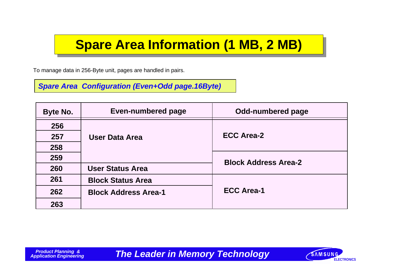### **Spare Area Information (1 MB, 2 MB)**

To manage data in 256-Byte unit, pages are handled in pairs.

*Spare Area Configuration (Even+Odd page.16Byte)*

| Byte No. | <b>Even-numbered page</b>   | <b>Odd-numbered page</b>    |
|----------|-----------------------------|-----------------------------|
| 256      |                             |                             |
| 257      | <b>User Data Area</b>       | <b>ECC Area-2</b>           |
| 258      |                             |                             |
| 259      |                             | <b>Block Address Area-2</b> |
| 260      | <b>User Status Area</b>     |                             |
| 261      | <b>Block Status Area</b>    |                             |
| 262      | <b>Block Address Area-1</b> | <b>ECC Area-1</b>           |
| 263      |                             |                             |

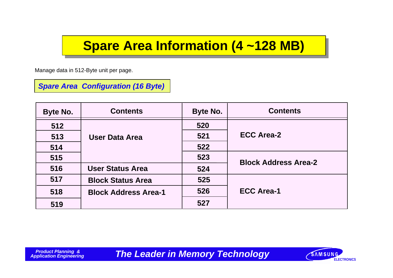### **Spare Area Information (4 ~128 MB)**

Manage data in 512-Byte unit per page.

*Spare Area Configuration (16 Byte)*

| Byte No. | <b>Contents</b>             | Byte No. | <b>Contents</b>             |
|----------|-----------------------------|----------|-----------------------------|
| 512      |                             | 520      |                             |
| 513      | <b>User Data Area</b>       | 521      | <b>ECC Area-2</b>           |
| 514      |                             | 522      |                             |
| 515      |                             | 523      | <b>Block Address Area-2</b> |
| 516      | <b>User Status Area</b>     | 524      |                             |
| 517      | <b>Block Status Area</b>    | 525      |                             |
| 518      | <b>Block Address Area-1</b> | 526      | <b>ECC Area-1</b>           |
| 519      |                             | 527      |                             |

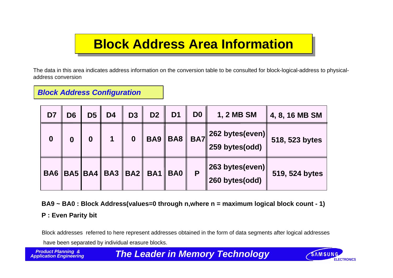### **Block Address Area Information**

The data in this area indicates address information on the conversion table to be consulted for block-logical-address to physicaladdress conversion

*Block Address Configuration*

| D7               | D <sub>6</sub>   | D <sub>5</sub>   | D <sub>4</sub> | D <sub>3</sub>   | D <sub>2</sub>                          | D <sub>1</sub> | D <sub>0</sub> | 1, 2 MB SM                                 | 4, 8, 16 MB SM |
|------------------|------------------|------------------|----------------|------------------|-----------------------------------------|----------------|----------------|--------------------------------------------|----------------|
| $\boldsymbol{0}$ | $\boldsymbol{0}$ | $\boldsymbol{0}$ | 1              | $\boldsymbol{0}$ |                                         | $BA9$ BA8      | <b>BA7</b>     | $\ 262$ bytes(even) $\ $<br>259 bytes(odd) | 518, 523 bytes |
|                  |                  |                  |                |                  | BA6   BA5   BA4   BA3   BA2   BA1   BA0 |                | P              | 263 bytes(even)<br>260 bytes(odd)          | 519, 524 bytes |

**BA9 ~ BA0 : Block Address(values=0 through n,where n = maximum logical block count - 1)**

**P : Even Parity bit**

Block addresses referred to here represent addresses obtained in the form of data segments after logical addresses have been separated by individual erasure blocks.

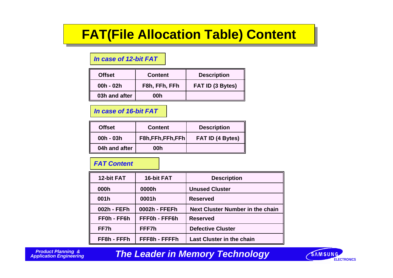### **FAT(File Allocation Table) Content**

#### *In case of 12-bit FAT*

| <b>Offset</b> | <b>Content</b> | <b>Description</b> |
|---------------|----------------|--------------------|
| $00h - 02h$   | F8h, FFh, FFh  | FAT ID (3 Bytes)   |
| 03h and after | 00h            |                    |

### *In case of 16-bit FAT*

| <b>Offset</b> | <b>Content</b>  | <b>Description</b>      |
|---------------|-----------------|-------------------------|
| $00h - 03h$   | F8h,FFh,FFh,FFh | <b>FAT ID (4 Bytes)</b> |
| 04h and after | 00h             |                         |

### *FAT Content*

| 12-bit FAT  | 16-bit FAT    | <b>Description</b>                      |
|-------------|---------------|-----------------------------------------|
| 000h        | 0000h         | <b>Unused Cluster</b>                   |
| 001h        | 0001h         | <b>Reserved</b>                         |
| 002h - FEFh | 0002h - FFEFh | <b>Next Cluster Number in the chain</b> |
| FF0h - FF6h | FFF0h - FFF6h | <b>Reserved</b>                         |
| FF7h        | FFF7h         | <b>Defective Cluster</b>                |
| FF8h - FFFh | FFF8h - FFFFh | <b>Last Cluster in the chain</b>        |

 *Product Planning &*

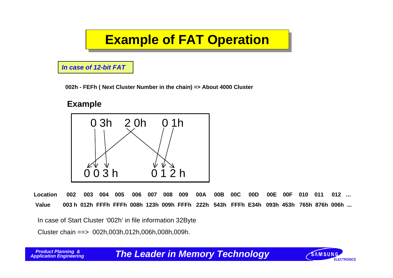# **Example of FAT Operation**

*In case of 12-bit FAT*

**002h - FEFh ( Next Cluster Number in the chain) => About 4000 Cluster**

### **Example**



**Location 002 003 004 005 006 007 008 009 00A 00B 00C 00D 00E 00F 010 011 012 … Value 003 h 012h FFFh FFFh 008h 123h 009h FFFh 222h 543h FFFh E34h 093h 453h 765h 876h 006h ...**

In case of Start Cluster '002h' in file information 32Byte

Cluster chain ==> 002h,003h,012h,006h,008h,009h.

**The Leader in Memory Technology EXAMBUNG** 

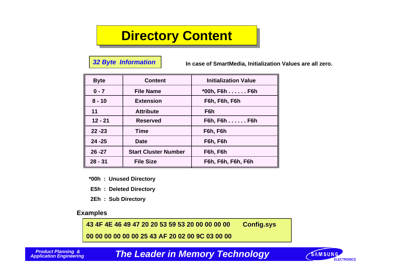### **Directory Content**

#### *32 Byte Information*

**In case of SmartMedia, Initialization Values are all zero.**

| <b>Byte</b> | <b>Content</b>              | <b>Initialization Value</b> |
|-------------|-----------------------------|-----------------------------|
| $0 - 7$     | <b>File Name</b>            | *00h, F6h F6h               |
| $8 - 10$    | <b>Extension</b>            | F6h, F6h, F6h               |
| 11          | <b>Attribute</b>            | F <sub>6</sub> h            |
| $12 - 21$   | <b>Reserved</b>             | $F6h, F6h, \ldots$ . F6h    |
| $22 - 23$   | Time                        | F6h, F6h                    |
| $24 - 25$   | <b>Date</b>                 | F6h, F6h                    |
| $26 - 27$   | <b>Start Cluster Number</b> | F6h, F6h                    |
| $28 - 31$   | <b>File Size</b>            | F6h, F6h, F6h, F6h          |

- **\*00h : Unused Directory**
- **E5h : Deleted Directory**
- **2Eh : Sub Directory**

#### **Examples**

**43 4F 4E 46 49 47 20 20 53 59 53 20 00 00 00 00 Config.sys**

**00 00 00 00 00 00 25 43 AF 20 02 00 9C 03 00 00**

 *Product Planning &*

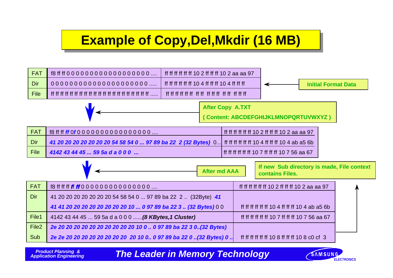# **Example of Copy,Del,Mkdir (16 MB)**



 *Product Planning &*

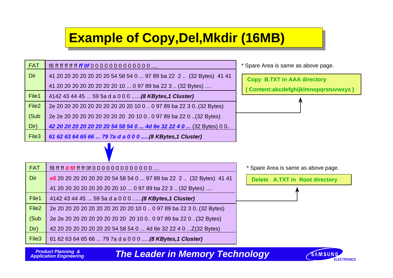### **Example of Copy,Del,Mkdir (16MB)**

| <b>FAT</b>        |                                                                     | * Spare Area is same as above page.  |
|-------------------|---------------------------------------------------------------------|--------------------------------------|
| Dir               | 41 20 20 20 20 20 20 20 54 58 54 0  97 89 ba 22 2  (32 Bytes) 41 41 | <b>Copy B.TXT in AAA directory</b>   |
|                   | 41 20 20 20 20 20 20 20 20 10  0 97 89 ba 22 3  (32 Bytes)          | (Content:abcdefghijklmnopqrstuvwxyz) |
| File1             | 4142 43 44 45  59 5a d a 0 0 0  (8 KBytes, 1 Cluster)               |                                      |
| File <sub>2</sub> | 2e 20 20 20 20 20 20 20 20 20 20 10 0  0 97 89 ba 22 3 0(32 Bytes)  |                                      |
| (Sub              | 2e 2e 20 20 20 20 20 20 20 20 20 10 0 0 97 89 ba 22 0(32 Bytes)     |                                      |
| Dir)              | 42 20 20 20 20 20 20 20 54 58 54 0  4d 6e 32 22 4 0  (32 Bytes) 0 0 |                                      |
| File <sub>3</sub> | 61 62 63 64 65 66  79 7a d a 0 0 0  (8 KBytes, 1 Cluster)           |                                      |
|                   |                                                                     |                                      |
| <b>FAT</b>        | f8 ff ff <b>0 f0</b> ff ff 0f 0 0 0 0 0 0 0 0 0 0 0 0               | * Spare Area is same as above page.  |
| <b>Dir</b>        | e5 20 20 20 20 20 20 20 54 58 54 0  97 89 ba 22 2  (32 Bytes) 41 41 | Delete A.TXT in Root directory       |
|                   | 41 20 20 20 20 20 20 20 20 10  0 97 89 ba 22 3  (32 Bytes)          |                                      |
| File1             | 4142 43 44 45  59 5a d a 0 0 0  (8 KBytes, 1 Cluster)               |                                      |
| File <sub>2</sub> | 2e 20 20 20 20 20 20 20 20 20 10 0  0 97 89 ba 22 3 0(32 Bytes)     |                                      |
| (Sub              | 2e 2e 20 20 20 20 20 20 20 20 20 10 0 0 97 89 ba 22 0 (32 Bytes)    |                                      |
| Dir)              | 42 20 20 20 20 20 20 20 54 58 54 0  4d 6e 32 22 4 0  Z(32 Bytes)    |                                      |
| File <sub>3</sub> | 61 62 63 64 65 66  79 7a d a 0 0 0  (8 KBytes, 1 Cluster)           |                                      |

 *Product Planning &*

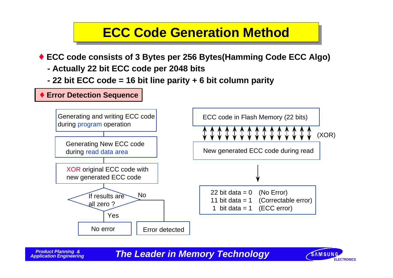### **ECC Code Generation Method**

♦ **ECC code consists of 3 Bytes per 256 Bytes(Hamming Code ECC Algo)**

- **Actually 22 bit ECC code per 2048 bits**
- **22 bit ECC code = 16 bit line parity + 6 bit column parity**

#### ♦ **Error Detection Sequence** Generating and writing ECC code during program operation Generating New ECC code during read data area XOR original ECC code with new generated ECC code If results are all zero ? No error **Error** detected No Yes ECC code in Flash Memory (22 bits) New generated ECC code during read (XOR) 22 bit data  $= 0$ 11 bit data  $= 1$ 1 bit data  $= 1$ (No Error) (Correctable error) (ECC error)

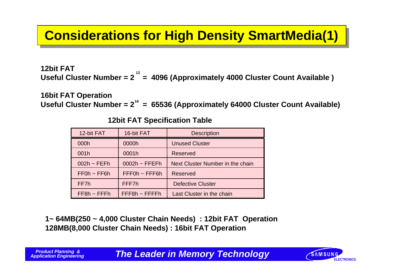### **Considerations for High Density SmartMedia(1)**

**12bit FAT** Useful Cluster Number = 2<sup>12</sup> = 4096 (Approximately 4000 Cluster Count Available)

**16bit FAT Operation**

Useful Cluster Number = 2<sup>16</sup> = 65536 (Approximately 64000 Cluster Count Available)

| 12-bit FAT       | 16-bit FAT          | <b>Description</b>               |
|------------------|---------------------|----------------------------------|
| 000h             | 0000h               | <b>Unused Cluster</b>            |
| 001h             | 0001h               | <b>Reserved</b>                  |
| $002h \sim FEFh$ | $0002h \sim FFEFh$  | Next Cluster Number in the chain |
| $FFOh \sim FF6h$ | $FFF0h \sim FFF6h$  | <b>Reserved</b>                  |
| FF7h             | FFF7h               | <b>Defective Cluster</b>         |
| $FF8h \sim FFFh$ | $FFF8h \sim FFFFFh$ | Last Cluster in the chain        |

**12bit FAT Specification Table**

**1~ 64MB(250 ~ 4,000 Cluster Chain Needs) : 12bit FAT Operation 128MB(8,000 Cluster Chain Needs) : 16bit FAT Operation**

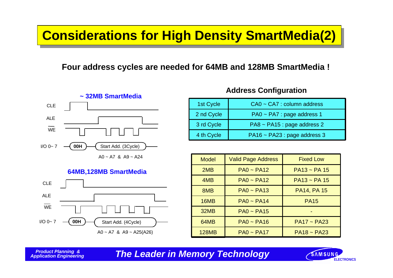### **Considerations for High Density SmartMedia(2)**

### **Four address cycles are needed for 64MB and 128MB SmartMedia !**



 $AO - A7$  &  $A9 - A24$ 

#### **64MB,128MB SmartMedia**



### **Address Configuration**

| 1st Cycle  | CA0 ~ CA7 : column address   |
|------------|------------------------------|
| 2 nd Cycle | PA0 ~ PA7 : page address 1   |
| 3 rd Cycle | PA8 ~ PA15 : page address 2  |
| 4 th Cycle | PA16 ~ PA23 : page address 3 |

| <b>Model</b> | <b>Valid Page Address</b> | <b>Fixed Low</b>   |
|--------------|---------------------------|--------------------|
| 2MB          | $PA0 \sim PA12$           | $PA13 \sim PA$ 15  |
| 4MB          | $PA0 \sim PA12$           | $PA13 \sim PA$ 15  |
| 8MB          | $PA0 \sim PA13$           | <b>PA14, PA 15</b> |
| 16MB         | $PA0 \sim PA14$           | <b>PA15</b>        |
| 32MB         | $PA0 \sim PA15$           |                    |
| 64MB         | $PA0 \sim PA16$           | $PA17 - PA23$      |
| <b>128MB</b> | $PA0 - PA17$              | $PA18 \sim PA23$   |

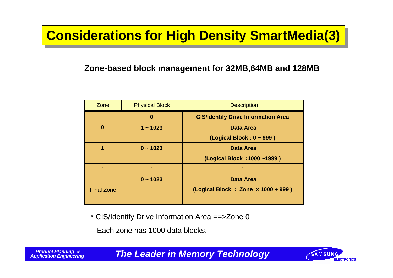# **Considerations for High Density SmartMedia(3)**

### **Zone-based block management for 32MB,64MB and 128MB**

| Zone              | <b>Physical Block</b> | <b>Description</b>                         |
|-------------------|-----------------------|--------------------------------------------|
|                   | $\bf{0}$              | <b>CIS/Identify Drive Information Area</b> |
| $\bf{0}$          | $1 - 1023$            | <b>Data Area</b>                           |
|                   |                       | (Logical Block: $0 \sim 999$ )             |
|                   | $0 - 1023$            | <b>Data Area</b>                           |
|                   |                       | (Logical Block : 1000~1999)                |
|                   |                       |                                            |
|                   | $0 - 1023$            | <b>Data Area</b>                           |
| <b>Final Zone</b> |                       | (Logical Block: Zone x 1000 + 999)         |
|                   |                       |                                            |

\* CIS/Identify Drive Information Area ==>Zone 0

Each zone has 1000 data blocks.

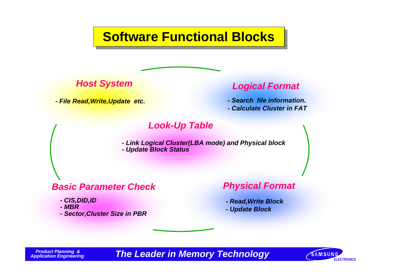**Software Functional Blocks**



*- File Read,Write,Update etc. - Search file information.*

### *Host System Logical Format*

- 
- *Calculate Cluster in FAT*

### *Look-Up Table*

*- Link Logical Cluster(LBA mode) and Physical block - Update Block Status*

### *Basic Parameter Check Physical Format*

- *CIS,DID,ID*
- *MBR*
- *Sector,Cluster Size in PBR*

*- Read,Write Block - Update Block*